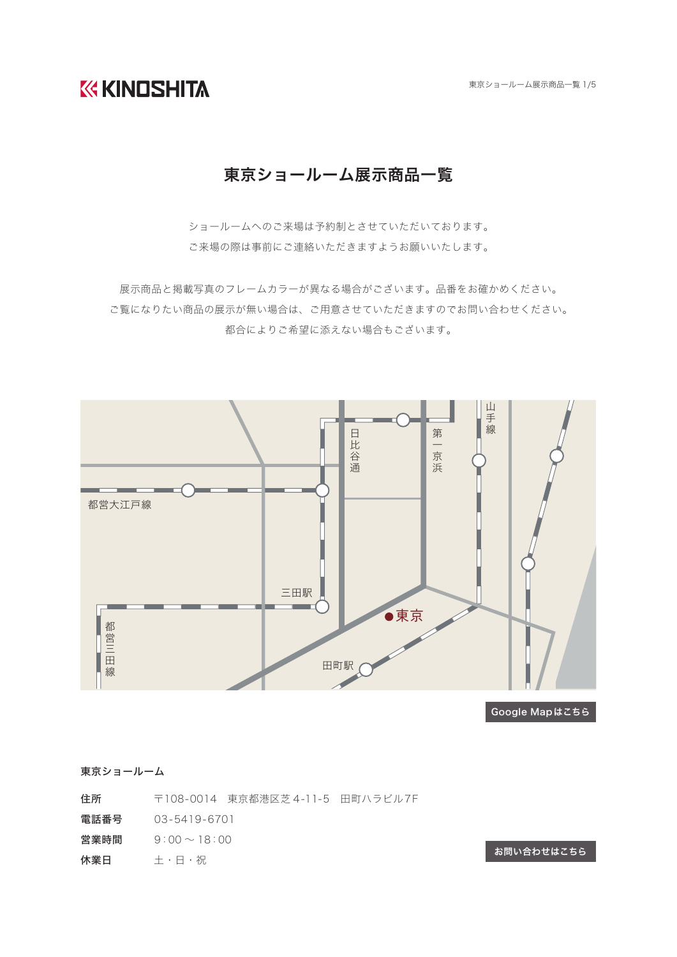**KG KINDSHITA** 

東京ショールーム展示商品一覧 1/5

## 東京ショールーム展示商品一覧

ショールームへのご来場は予約制とさせていただいております。 ご来場の際は事前にご連絡いただきますようお願いいたします。

展示商品と掲載写真のフレームカラーが異なる場合がございます。品番をお確かめください。 ご覧になりたい商品の展示が無い場合は、ご用意させていただきますのでお問い合わせください。 都合によりご希望に添えない場合もございます。



Google Mapはこちら

東京ショールーム

- 住所 〒108-0014 東京都港区芝 4-11-5 田町ハラビル7F
- 電話番号 03-5419-6701
- 営業時間  $9:00 \sim 18:00$
- 休業日 土・日・祝

[お問い合わせはこちら](https://www.kk-kinoshita.co.jp/contact/)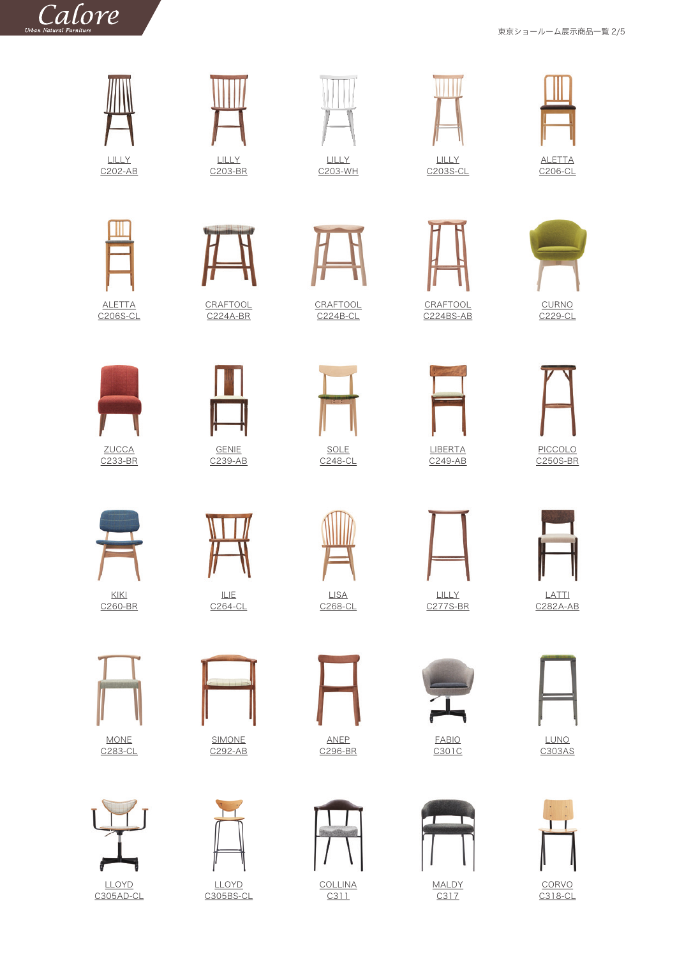東京ショールーム展示商品一覧 2/5



C<sub>202</sub>-AB



LILLY [C203-BR](https://www.kk-kinoshita.co.jp/products/c203/)

**[CRAFTOOL](https://www.kk-kinoshita.co.jp/products/c224a/)** C224A-BR



**[CRAFTOOL](https://www.kk-kinoshita.co.jp/products/c224b/)** C224B-CL

LILLY [C203-WH](https://www.kk-kinoshita.co.jp/products/c203/)



SOLE [C248-CL](https://www.kk-kinoshita.co.jp/products/c248/)



C<sub>203S-CL</sub>

**CRAFTOOL** [C224BS-AB](https://www.kk-kinoshita.co.jp/products/c224bs/)

> LIBERTA [C249-AB](https://www.kk-kinoshita.co.jp/products/c249/)



ALETTA [C206-CL](https://www.kk-kinoshita.co.jp/products/c206/)



[C229-CL](https://www.kk-kinoshita.co.jp/products/c229/)



PICCOLO [C250S-BR](https://www.kk-kinoshita.co.jp/products/c250s/)



LATTI [C282A-AB](https://www.kk-kinoshita.co.jp/products/c282a/)



LUNO [C303AS](https://www.kk-kinoshita.co.jp/products/c303as/)



**CORVO** [C318-CL](https://www.kk-kinoshita.co.jp/products/%ef%bd%83318/)



[C239-AB](https://www.kk-kinoshita.co.jp/products/c239/)



ILIE  $C264-CL$ 

MONE

KIKI [C260-BR](https://www.kk-kinoshita.co.jp/products/c260/)

ZUCCA [C233-BR](https://www.kk-kinoshita.co.jp/products/c233/)



[C283-CL](https://www.kk-kinoshita.co.jp/products/c283/)



[C305AD-CL](https://www.kk-kinoshita.co.jp/products/c305ad/)



SIMONE [C292-AB](https://www.kk-kinoshita.co.jp/products/c292/)



LLOYD [C305BS-CL](https://www.kk-kinoshita.co.jp/products/b305bs/)



LISA [C268-CL](https://www.kk-kinoshita.co.jp/products/c268/)

ANEP [C296-BR](https://www.kk-kinoshita.co.jp/products/c296/)



**[COLLINA](https://www.kk-kinoshita.co.jp/products/c311/)** C311









FABIO [C301C](https://www.kk-kinoshita.co.jp/products/c301c/)









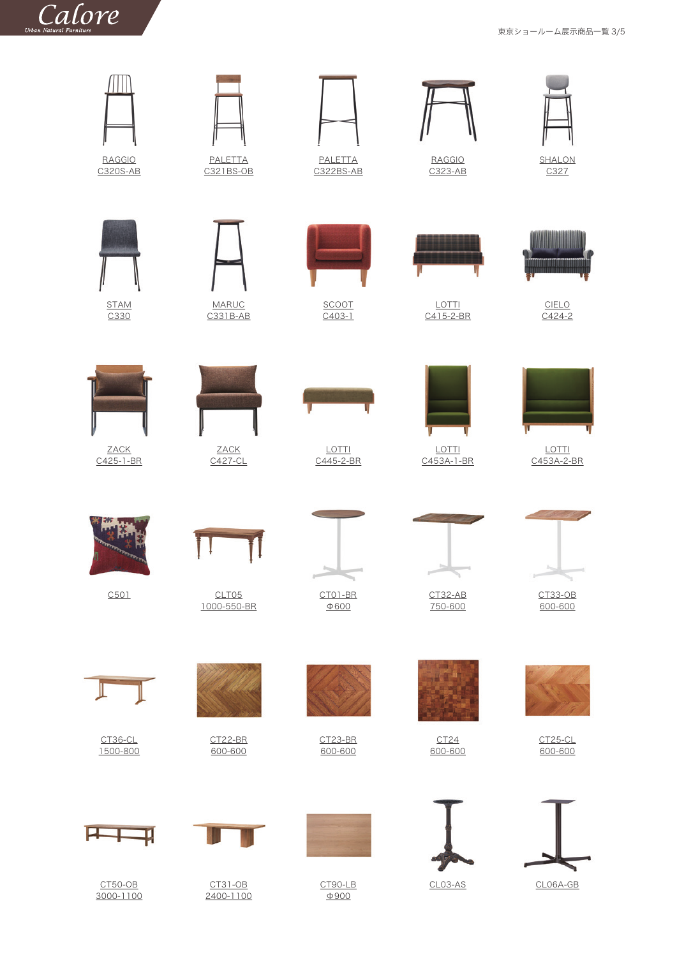## $\int_{Urban Natural Furthermore} \nabla u \, dV \, dV$

東京ショールーム展示商品一覧 3/5

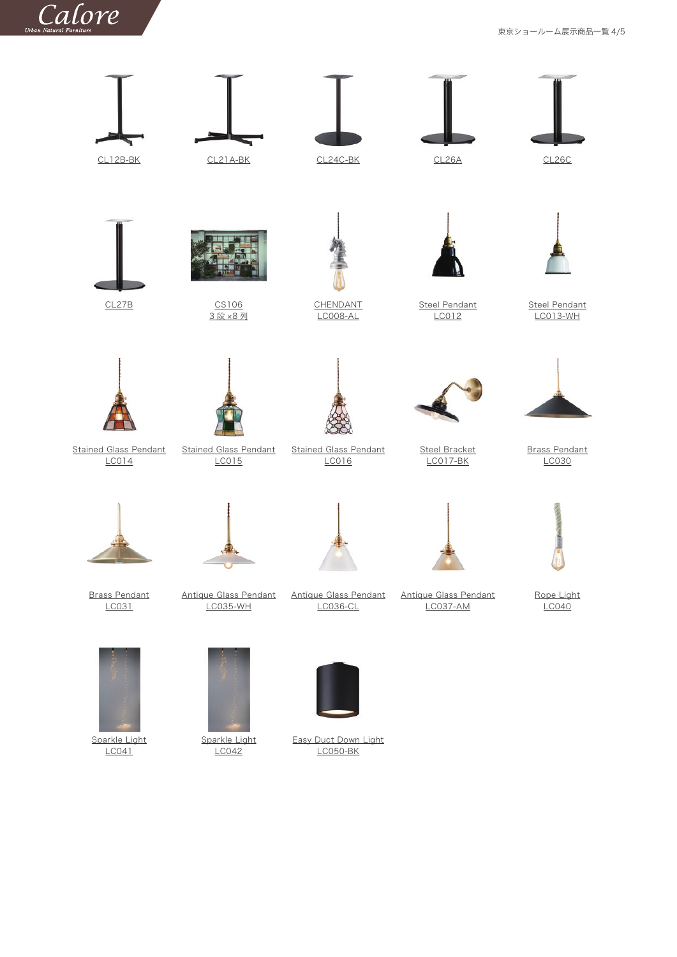

東京ショールーム展示商品一覧 4/5